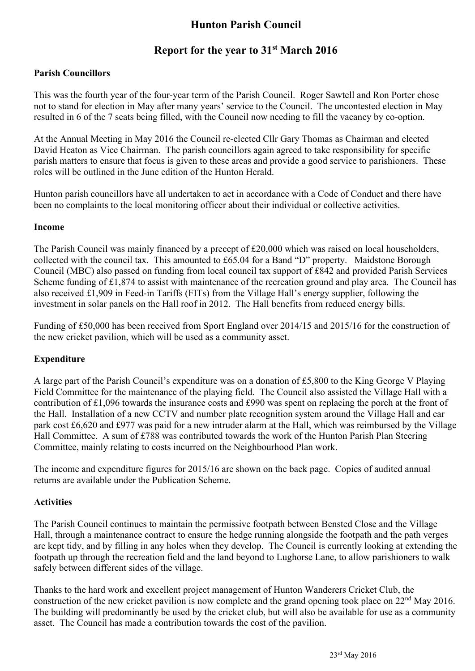# **Hunton Parish Council**

# **Report for the year to 31st March 2016**

### **Parish Councillors**

This was the fourth year of the four-year term of the Parish Council. Roger Sawtell and Ron Porter chose not to stand for election in May after many years' service to the Council. The uncontested election in May resulted in 6 of the 7 seats being filled, with the Council now needing to fill the vacancy by co-option.

At the Annual Meeting in May 2016 the Council re-elected Cllr Gary Thomas as Chairman and elected David Heaton as Vice Chairman. The parish councillors again agreed to take responsibility for specific parish matters to ensure that focus is given to these areas and provide a good service to parishioners. These roles will be outlined in the June edition of the Hunton Herald.

Hunton parish councillors have all undertaken to act in accordance with a Code of Conduct and there have been no complaints to the local monitoring officer about their individual or collective activities.

#### **Income**

The Parish Council was mainly financed by a precept of £20,000 which was raised on local householders, collected with the council tax. This amounted to £65.04 for a Band "D" property. Maidstone Borough Council (MBC) also passed on funding from local council tax support of £842 and provided Parish Services Scheme funding of £1,874 to assist with maintenance of the recreation ground and play area. The Council has also received £1,909 in Feed-in Tariffs (FITs) from the Village Hall's energy supplier, following the investment in solar panels on the Hall roof in 2012. The Hall benefits from reduced energy bills.

Funding of £50,000 has been received from Sport England over 2014/15 and 2015/16 for the construction of the new cricket pavilion, which will be used as a community asset.

#### **Expenditure**

A large part of the Parish Council's expenditure was on a donation of £5,800 to the King George V Playing Field Committee for the maintenance of the playing field. The Council also assisted the Village Hall with a contribution of £1,096 towards the insurance costs and £990 was spent on replacing the porch at the front of the Hall. Installation of a new CCTV and number plate recognition system around the Village Hall and car park cost £6,620 and £977 was paid for a new intruder alarm at the Hall, which was reimbursed by the Village Hall Committee. A sum of £788 was contributed towards the work of the Hunton Parish Plan Steering Committee, mainly relating to costs incurred on the Neighbourhood Plan work.

The income and expenditure figures for 2015/16 are shown on the back page. Copies of audited annual returns are available under the Publication Scheme.

#### **Activities**

The Parish Council continues to maintain the permissive footpath between Bensted Close and the Village Hall, through a maintenance contract to ensure the hedge running alongside the footpath and the path verges are kept tidy, and by filling in any holes when they develop. The Council is currently looking at extending the footpath up through the recreation field and the land beyond to Lughorse Lane, to allow parishioners to walk safely between different sides of the village.

Thanks to the hard work and excellent project management of Hunton Wanderers Cricket Club, the construction of the new cricket pavilion is now complete and the grand opening took place on 22nd May 2016. The building will predominantly be used by the cricket club, but will also be available for use as a community asset. The Council has made a contribution towards the cost of the pavilion.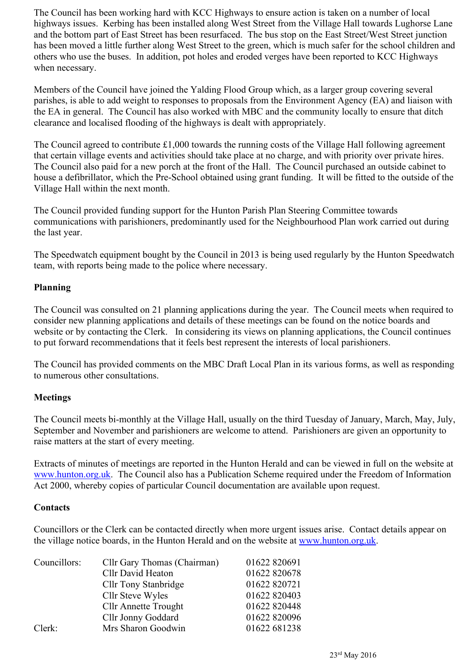The Council has been working hard with KCC Highways to ensure action is taken on a number of local highways issues. Kerbing has been installed along West Street from the Village Hall towards Lughorse Lane and the bottom part of East Street has been resurfaced. The bus stop on the East Street/West Street junction has been moved a little further along West Street to the green, which is much safer for the school children and others who use the buses. In addition, pot holes and eroded verges have been reported to KCC Highways when necessary.

Members of the Council have joined the Yalding Flood Group which, as a larger group covering several parishes, is able to add weight to responses to proposals from the Environment Agency (EA) and liaison with the EA in general. The Council has also worked with MBC and the community locally to ensure that ditch clearance and localised flooding of the highways is dealt with appropriately.

The Council agreed to contribute £1,000 towards the running costs of the Village Hall following agreement that certain village events and activities should take place at no charge, and with priority over private hires. The Council also paid for a new porch at the front of the Hall. The Council purchased an outside cabinet to house a defibrillator, which the Pre-School obtained using grant funding. It will be fitted to the outside of the Village Hall within the next month.

The Council provided funding support for the Hunton Parish Plan Steering Committee towards communications with parishioners, predominantly used for the Neighbourhood Plan work carried out during the last year.

The Speedwatch equipment bought by the Council in 2013 is being used regularly by the Hunton Speedwatch team, with reports being made to the police where necessary.

#### **Planning**

The Council was consulted on 21 planning applications during the year. The Council meets when required to consider new planning applications and details of these meetings can be found on the notice boards and website or by contacting the Clerk. In considering its views on planning applications, the Council continues to put forward recommendations that it feels best represent the interests of local parishioners.

The Council has provided comments on the MBC Draft Local Plan in its various forms, as well as responding to numerous other consultations.

## **Meetings**

The Council meets bi-monthly at the Village Hall, usually on the third Tuesday of January, March, May, July, September and November and parishioners are welcome to attend. Parishioners are given an opportunity to raise matters at the start of every meeting.

Extracts of minutes of meetings are reported in the Hunton Herald and can be viewed in full on the website at www.hunton.org.uk. The Council also has a Publication Scheme required under the Freedom of Information Act 2000, whereby copies of particular Council documentation are available upon request.

#### **Contacts**

Councillors or the Clerk can be contacted directly when more urgent issues arise. Contact details appear on the village notice boards, in the Hunton Herald and on the website at www.hunton.org.uk.

| Councillors: | Cllr Gary Thomas (Chairman) | 01622 820691 |
|--------------|-----------------------------|--------------|
|              | Cllr David Heaton           | 01622 820678 |
|              | <b>Cllr Tony Stanbridge</b> | 01622 820721 |
|              | Cllr Steve Wyles            | 01622 820403 |
|              | <b>Cllr Annette Trought</b> | 01622 820448 |
|              | Cllr Jonny Goddard          | 01622 820096 |
| Clerk:       | Mrs Sharon Goodwin          | 01622 681238 |